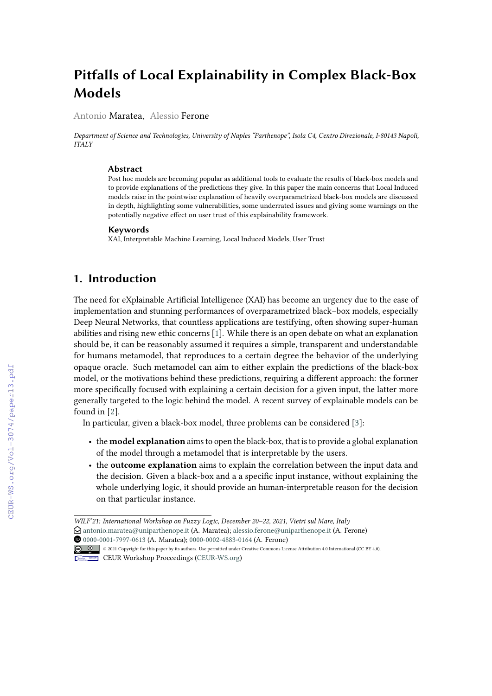# **Pitfalls of Local Explainability in Complex Black-Box Models**

Antonio Maratea, Alessio Ferone

*Department of Science and Technologies, University of Naples "Parthenope", Isola C4, Centro Direzionale, I-80143 Napoli, ITALY*

#### **Abstract**

Post hoc models are becoming popular as additional tools to evaluate the results of black-box models and to provide explanations of the predictions they give. In this paper the main concerns that Local Induced models raise in the pointwise explanation of heavily overparametrized black-box models are discussed in depth, highlighting some vulnerabilities, some underrated issues and giving some warnings on the potentially negative effect on user trust of this explainability framework.

#### **Keywords**

XAI, Interpretable Machine Learning, Local Induced Models, User Trust

# **1. Introduction**

The need for eXplainable Artificial Intelligence (XAI) has become an urgency due to the ease of implementation and stunning performances of overparametrized black–box models, especially Deep Neural Networks, that countless applications are testifying, often showing super-human abilities and rising new ethic concerns [\[1\]](#page--1-0). While there is an open debate on what an explanation should be, it can be reasonably assumed it requires a simple, transparent and understandable for humans metamodel, that reproduces to a certain degree the behavior of the underlying opaque oracle. Such metamodel can aim to either explain the predictions of the black-box model, or the motivations behind these predictions, requiring a different approach: the former more specifically focused with explaining a certain decision for a given input, the latter more generally targeted to the logic behind the model. A recent survey of explainable models can be found in [\[2\]](#page--1-1).

In particular, given a black-box model, three problems can be considered [\[3\]](#page--1-2):

- the **model explanation** aims to open the black-box, that is to provide a global explanation of the model through a metamodel that is interpretable by the users.
- the **outcome explanation** aims to explain the correlation between the input data and the decision. Given a black-box and a a specific input instance, without explaining the whole underlying logic, it should provide an human-interpretable reason for the decision on that particular instance.

Orcid [0000-0001-7997-0613](https://orcid.org/0000-0001-7997-0613) (A. Maratea); [0000-0002-4883-0164](https://orcid.org/0000-0002-4883-0164) (A. Ferone) © 2021 Copyright for this paper by its authors. Use permitted under Creative Commons License Attribution 4.0 International (CC BY 4.0).



CEUR Workshop [Proceedings](http://ceur-ws.org) [\(CEUR-WS.org\)](http://ceur-ws.org)

*WILF'21: International Workshop on Fuzzy Logic, December 20–22, 2021, Vietri sul Mare, Italy*  $\Theta$  [antonio.maratea@uniparthenope.it](mailto:antonio.maratea@uniparthenope.it) (A. Maratea); [alessio.ferone@uniparthenope.it](mailto:alessio.ferone@uniparthenope.it) (A. Ferone)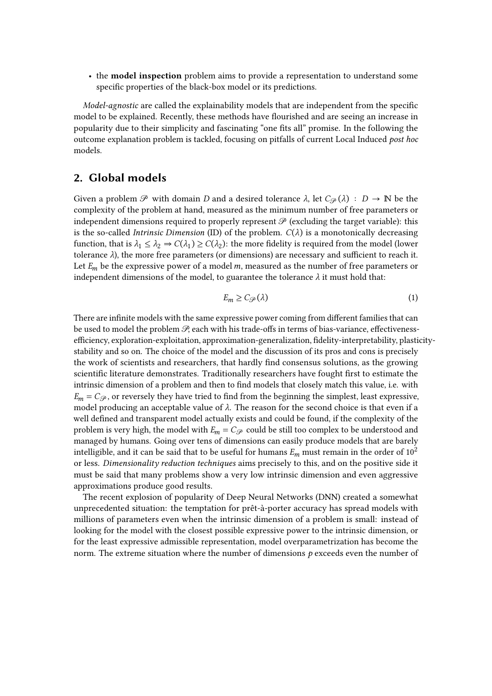• the **model inspection** problem aims to provide a representation to understand some specific properties of the black-box model or its predictions.

*Model-agnostic* are called the explainability models that are independent from the specific model to be explained. Recently, these methods have flourished and are seeing an increase in popularity due to their simplicity and fascinating "one fits all" promise. In the following the outcome explanation problem is tackled, focusing on pitfalls of current Local Induced *post hoc* models.

## **2. Global models**

Given a problem  $\mathcal P$  with domain D and a desired tolerance  $\lambda$ , let  $C_{\mathcal P}(\lambda) : D \to \mathbb N$  be the complexity of the problem at hand, measured as the minimum number of free parameters or independent dimensions required to properly represent  $\mathcal P$  (excluding the target variable): this is the so-called *Intrinsic Dimension* (ID) of the problem.  $C(\lambda)$  is a monotonically decreasing function, that is  $\lambda_1 \leq \lambda_2 \Rightarrow C(\lambda_1) \geq C(\lambda_2)$ : the more fidelity is required from the model (lower tolerance  $\lambda$ ), the more free parameters (or dimensions) are necessary and sufficient to reach it. Let  $E_m$  be the expressive power of a model m, measured as the number of free parameters or independent dimensions of the model, to guarantee the tolerance  $\lambda$  it must hold that:

$$
E_m \ge C_{\mathcal{P}}(\lambda) \tag{1}
$$

There are infinite models with the same expressive power coming from different families that can be used to model the problem  $\mathcal{P}$ , each with his trade-offs in terms of bias-variance, effectivenessefficiency, exploration-exploitation, approximation-generalization, fidelity-interpretability, plasticitystability and so on. The choice of the model and the discussion of its pros and cons is precisely the work of scientists and researchers, that hardly find consensus solutions, as the growing scientific literature demonstrates. Traditionally researchers have fought first to estimate the intrinsic dimension of a problem and then to find models that closely match this value, i.e. with  $E_m = C_{\mathcal{P}}$ , or reversely they have tried to find from the beginning the simplest, least expressive, model producing an acceptable value of  $\lambda$ . The reason for the second choice is that even if a well defined and transparent model actually exists and could be found, if the complexity of the problem is very high, the model with  $E_m = C_{\mathcal{P}}$  could be still too complex to be understood and managed by humans. Going over tens of dimensions can easily produce models that are barely intelligible, and it can be said that to be useful for humans  $E_m$  must remain in the order of 10<sup>2</sup> or less. *Dimensionality reduction techniques* aims precisely to this, and on the positive side it must be said that many problems show a very low intrinsic dimension and even aggressive approximations produce good results.

The recent explosion of popularity of Deep Neural Networks (DNN) created a somewhat unprecedented situation: the temptation for prêt-à-porter accuracy has spread models with millions of parameters even when the intrinsic dimension of a problem is small: instead of looking for the model with the closest possible expressive power to the intrinsic dimension, or for the least expressive admissible representation, model overparametrization has become the norm. The extreme situation where the number of dimensions  $p$  exceeds even the number of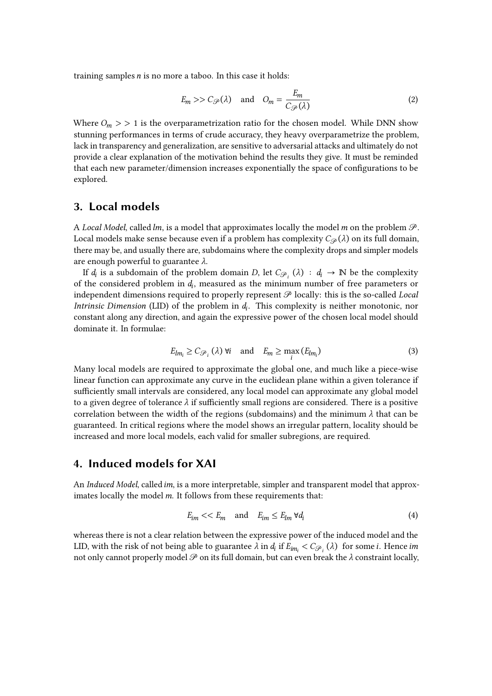training samples  $n$  is no more a taboo. In this case it holds:

$$
E_m \gg C_{\mathcal{P}}(\lambda) \quad \text{and} \quad O_m = \frac{E_m}{C_{\mathcal{P}}(\lambda)} \tag{2}
$$

Where  $O_m$  > > 1 is the overparametrization ratio for the chosen model. While DNN show stunning performances in terms of crude accuracy, they heavy overparametrize the problem, lack in transparency and generalization, are sensitive to adversarial attacks and ultimately do not provide a clear explanation of the motivation behind the results they give. It must be reminded that each new parameter/dimension increases exponentially the space of configurations to be explored.

## **3. Local models**

A *Local Model*, called *lm*, is a model that approximates locally the model *m* on the problem  $\mathcal{P}$ . Local models make sense because even if a problem has complexity  $C_{\mathcal{P}}(\lambda)$  on its full domain, there may be, and usually there are, subdomains where the complexity drops and simpler models are enough powerful to guarantee  $\lambda$ .

If  $d_i$  is a subdomain of the problem domain D, let  $C_{\mathcal{P}_i}(\lambda) : d_i \to \mathbb{N}$  be the complexity of the considered problem in  $d_i$ , measured as the minimum number of free parameters or independent dimensions required to properly represent  $\mathcal P$  locally: this is the so-called *Local Intrinsic Dimension* (LID) of the problem in  $d_i$ . This complexity is neither monotonic, nor constant along any direction, and again the expressive power of the chosen local model should dominate it. In formulae:

$$
E_{lm_i} \ge C_{\mathcal{P}_i} (\lambda) \ \forall i \quad \text{and} \quad E_m \ge \max_i \left( E_{lm_i} \right) \tag{3}
$$

Many local models are required to approximate the global one, and much like a piece-wise linear function can approximate any curve in the euclidean plane within a given tolerance if sufficiently small intervals are considered, any local model can approximate any global model to a given degree of tolerance  $\lambda$  if sufficiently small regions are considered. There is a positive correlation between the width of the regions (subdomains) and the minimum  $\lambda$  that can be guaranteed. In critical regions where the model shows an irregular pattern, locality should be increased and more local models, each valid for smaller subregions, are required.

## **4. Induced models for XAI**

An *Induced Model*, called *im*, is a more interpretable, simpler and transparent model that approximates locally the model  $m$ . It follows from these requirements that:

$$
E_{im} \ll E_m \quad \text{and} \quad E_{im} \le E_{lm} \ \forall d_i \tag{4}
$$

whereas there is not a clear relation between the expressive power of the induced model and the LID, with the risk of not being able to guarantee  $\lambda$  in  $d_i$  if  $E_{im_i} < C_{\mathscr{P}_i}(\lambda)$  for some  $i$ . Hence im not only cannot properly model  $\mathscr P$  on its full domain, but can even break the  $\lambda$  constraint locally,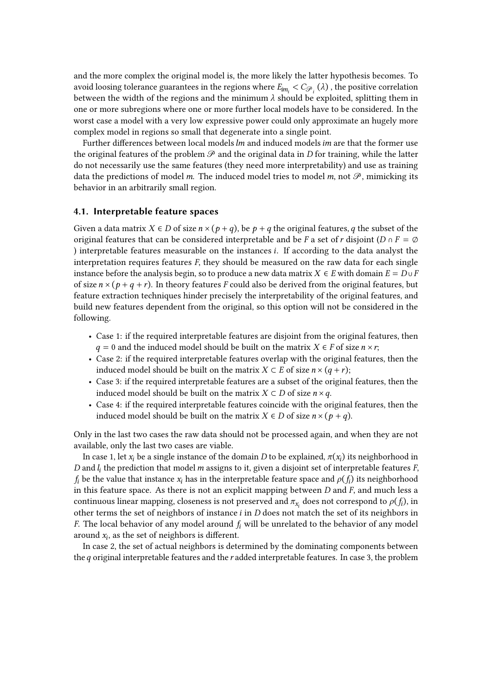and the more complex the original model is, the more likely the latter hypothesis becomes. To avoid loosing tolerance guarantees in the regions where  $E_{im_i} < C_{\mathscr{P}_i}(\lambda)$  , the positive correlation between the width of the regions and the minimum  $\lambda$  should be exploited, splitting them in one or more subregions where one or more further local models have to be considered. In the worst case a model with a very low expressive power could only approximate an hugely more complex model in regions so small that degenerate into a single point.

Further differences between local models  $lm$  and induced models  $im$  are that the former use the original features of the problem  $\mathscr P$  and the original data in D for training, while the latter do not necessarily use the same features (they need more interpretability) and use as training data the predictions of model m. The induced model tries to model m, not  $\mathscr{P}$ , mimicking its behavior in an arbitrarily small region.

#### **4.1. Interpretable feature spaces**

Given a data matrix  $X \in D$  of size  $n \times (p + q)$ , be  $p + q$  the original features, q the subset of the original features that can be considered interpretable and be F a set of r disjoint ( $D \cap F = \emptyset$ ) interpretable features measurable on the instances  $i$ . If according to the data analyst the interpretation requires features  $F$ , they should be measured on the raw data for each single instance before the analysis begin, so to produce a new data matrix  $X \in E$  with domain  $E = D \cup F$ of size  $n \times (p + q + r)$ . In theory features F could also be derived from the original features, but feature extraction techniques hinder precisely the interpretability of the original features, and build new features dependent from the original, so this option will not be considered in the following.

- Case 1: if the required interpretable features are disjoint from the original features, then  $q = 0$  and the induced model should be built on the matrix  $X \in F$  of size  $n \times r$ ;
- Case 2: if the required interpretable features overlap with the original features, then the induced model should be built on the matrix  $X \subset E$  of size  $n \times (q + r)$ ;
- Case 3: if the required interpretable features are a subset of the original features, then the induced model should be built on the matrix  $X \subset D$  of size  $n \times q$ .
- Case 4: if the required interpretable features coincide with the original features, then the induced model should be built on the matrix  $X \in D$  of size  $n \times (p + q)$ .

Only in the last two cases the raw data should not be processed again, and when they are not available, only the last two cases are viable.

In case 1, let  $x_i$  be a single instance of the domain  $D$  to be explained,  $\pi(x_i)$  its neighborhood in D and  $l_i$  the prediction that model  $m$  assigns to it, given a disjoint set of interpretable features  $F$ ,  $f_i$  be the value that instance  $x_i$  has in the interpretable feature space and  $\rho(f_i)$  its neighborhood in this feature space. As there is not an explicit mapping between  $D$  and  $F$ , and much less a continuous linear mapping, closeness is not preserved and  $\pi_{x_i}$  does not correspond to  $\rho(f_i)$ , in other terms the set of neighbors of instance  $i$  in  $D$  does not match the set of its neighbors in F. The local behavior of any model around  $f_i$  will be unrelated to the behavior of any model around  $x_i$ , as the set of neighbors is different.

In case 2, the set of actual neighbors is determined by the dominating components between the  $q$  original interpretable features and the  $r$  added interpretable features. In case 3, the problem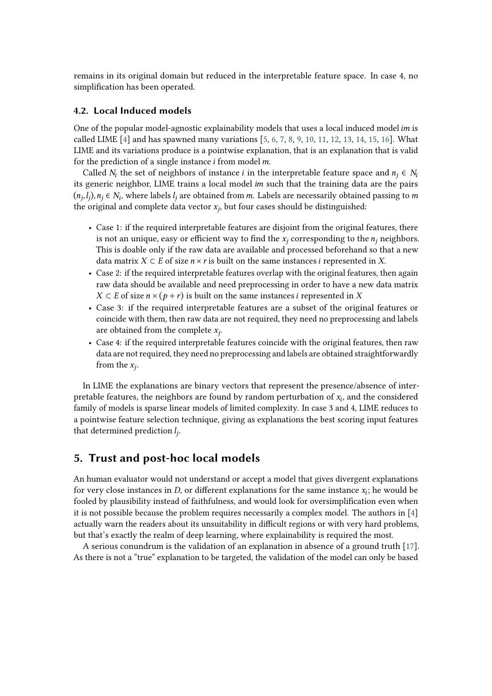remains in its original domain but reduced in the interpretable feature space. In case 4, no simplification has been operated.

## **4.2. Local Induced models**

One of the popular model-agnostic explainability models that uses a local induced model  $im$  is called LIME  $[4]$  and has spawned many variations  $[5, 6, 7, 8, 9, 10, 11, 12, 13, 14, 15, 16]$  $[5, 6, 7, 8, 9, 10, 11, 12, 13, 14, 15, 16]$  $[5, 6, 7, 8, 9, 10, 11, 12, 13, 14, 15, 16]$  $[5, 6, 7, 8, 9, 10, 11, 12, 13, 14, 15, 16]$  $[5, 6, 7, 8, 9, 10, 11, 12, 13, 14, 15, 16]$  $[5, 6, 7, 8, 9, 10, 11, 12, 13, 14, 15, 16]$  $[5, 6, 7, 8, 9, 10, 11, 12, 13, 14, 15, 16]$  $[5, 6, 7, 8, 9, 10, 11, 12, 13, 14, 15, 16]$  $[5, 6, 7, 8, 9, 10, 11, 12, 13, 14, 15, 16]$  $[5, 6, 7, 8, 9, 10, 11, 12, 13, 14, 15, 16]$  $[5, 6, 7, 8, 9, 10, 11, 12, 13, 14, 15, 16]$  $[5, 6, 7, 8, 9, 10, 11, 12, 13, 14, 15, 16]$  $[5, 6, 7, 8, 9, 10, 11, 12, 13, 14, 15, 16]$  $[5, 6, 7, 8, 9, 10, 11, 12, 13, 14, 15, 16]$  $[5, 6, 7, 8, 9, 10, 11, 12, 13, 14, 15, 16]$  $[5, 6, 7, 8, 9, 10, 11, 12, 13, 14, 15, 16]$  $[5, 6, 7, 8, 9, 10, 11, 12, 13, 14, 15, 16]$  $[5, 6, 7, 8, 9, 10, 11, 12, 13, 14, 15, 16]$  $[5, 6, 7, 8, 9, 10, 11, 12, 13, 14, 15, 16]$  $[5, 6, 7, 8, 9, 10, 11, 12, 13, 14, 15, 16]$  $[5, 6, 7, 8, 9, 10, 11, 12, 13, 14, 15, 16]$  $[5, 6, 7, 8, 9, 10, 11, 12, 13, 14, 15, 16]$ . What LIME and its variations produce is a pointwise explanation, that is an explanation that is valid for the prediction of a single instance  $i$  from model  $m$ .

Called  $N_i$  the set of neighbors of instance *i* in the interpretable feature space and  $n_j \in N_i$ its generic neighbor, LIME trains a local model im such that the training data are the pairs  $(n_j, l_j), n_j \in N_i$ , where labels  $l_j$  are obtained from m. Labels are necessarily obtained passing to m the original and complete data vector  $x_j$ , but four cases should be distinguished:

- Case 1: if the required interpretable features are disjoint from the original features, there is not an unique, easy or efficient way to find the  $x_i$  corresponding to the  $n_i$  neighbors. This is doable only if the raw data are available and processed beforehand so that a new data matrix  $X \subset E$  of size  $n \times r$  is built on the same instances *i* represented in X.
- Case 2: if the required interpretable features overlap with the original features, then again raw data should be available and need preprocessing in order to have a new data matrix  $X \subset E$  of size  $n \times (p+r)$  is built on the same instances *i* represented in X
- Case 3: if the required interpretable features are a subset of the original features or coincide with them, then raw data are not required, they need no preprocessing and labels are obtained from the complete  $x_j$ .
- Case 4: if the required interpretable features coincide with the original features, then raw data are not required, they need no preprocessing and labels are obtained straightforwardly from the  $x_j$ .

In LIME the explanations are binary vectors that represent the presence/absence of interpretable features, the neighbors are found by random perturbation of  $x_i$ , and the considered family of models is sparse linear models of limited complexity. In case 3 and 4, LIME reduces to a pointwise feature selection technique, giving as explanations the best scoring input features that determined prediction  $l_j$ .

## **5. Trust and post-hoc local models**

An human evaluator would not understand or accept a model that gives divergent explanations for very close instances in  $D$ , or different explanations for the same instance  $x_i$ ; he would be fooled by plausibility instead of faithfulness, and would look for oversimplification even when it is not possible because the problem requires necessarily a complex model. The authors in [\[4\]](#page-7-0) actually warn the readers about its unsuitability in difficult regions or with very hard problems, but that's exactly the realm of deep learning, where explainability is required the most.

A serious conundrum is the validation of an explanation in absence of a ground truth [\[17\]](#page-7-13). As there is not a "true" explanation to be targeted, the validation of the model can only be based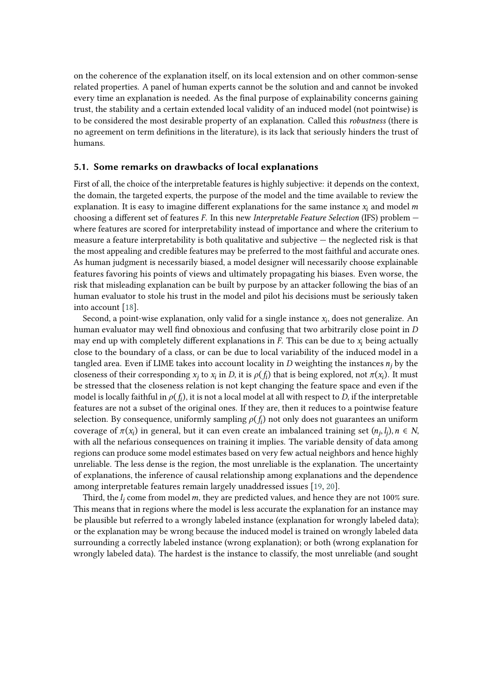on the coherence of the explanation itself, on its local extension and on other common-sense related properties. A panel of human experts cannot be the solution and and cannot be invoked every time an explanation is needed. As the final purpose of explainability concerns gaining trust, the stability and a certain extended local validity of an induced model (not pointwise) is to be considered the most desirable property of an explanation. Called this *robustness* (there is no agreement on term definitions in the literature), is its lack that seriously hinders the trust of humans.

### **5.1. Some remarks on drawbacks of local explanations**

First of all, the choice of the interpretable features is highly subjective: it depends on the context, the domain, the targeted experts, the purpose of the model and the time available to review the explanation. It is easy to imagine different explanations for the same instance  $x_i$  and model m choosing a different set of features F. In this new *Interpretable Feature Selection* (IFS) problem where features are scored for interpretability instead of importance and where the criterium to measure a feature interpretability is both qualitative and subjective — the neglected risk is that the most appealing and credible features may be preferred to the most faithful and accurate ones. As human judgment is necessarily biased, a model designer will necessarily choose explainable features favoring his points of views and ultimately propagating his biases. Even worse, the risk that misleading explanation can be built by purpose by an attacker following the bias of an human evaluator to stole his trust in the model and pilot his decisions must be seriously taken into account [\[18\]](#page-7-14).

Second, a point-wise explanation, only valid for a single instance  $x_i$ , does not generalize. An human evaluator may well find obnoxious and confusing that two arbitrarily close point in D may end up with completely different explanations in  $F$ . This can be due to  $x_i$  being actually close to the boundary of a class, or can be due to local variability of the induced model in a tangled area. Even if LIME takes into account locality in  $D$  weighting the instances  $n_i$  by the closeness of their corresponding  $x_j$  to  $x_i$  in D, it is  $\rho(f_i)$  that is being explored, not  $\pi(x_i)$ . It must be stressed that the closeness relation is not kept changing the feature space and even if the model is locally faithful in  $\rho(f_i)$ , it is not a local model at all with respect to  $D$ , if the interpretable features are not a subset of the original ones. If they are, then it reduces to a pointwise feature selection. By consequence, uniformly sampling  $\rho(f_i)$  not only does not guarantees an uniform coverage of  $\pi(x_i)$  in general, but it can even create an imbalanced training set  $(n_j, l_j)$ ,  $n \in N$ , with all the nefarious consequences on training it implies. The variable density of data among regions can produce some model estimates based on very few actual neighbors and hence highly unreliable. The less dense is the region, the most unreliable is the explanation. The uncertainty of explanations, the inference of causal relationship among explanations and the dependence among interpretable features remain largely unaddressed issues [\[19,](#page-8-0) [20\]](#page-8-1).

Third, the  $l_j$  come from model m, they are predicted values, and hence they are not 100% sure. This means that in regions where the model is less accurate the explanation for an instance may be plausible but referred to a wrongly labeled instance (explanation for wrongly labeled data); or the explanation may be wrong because the induced model is trained on wrongly labeled data surrounding a correctly labeled instance (wrong explanation); or both (wrong explanation for wrongly labeled data). The hardest is the instance to classify, the most unreliable (and sought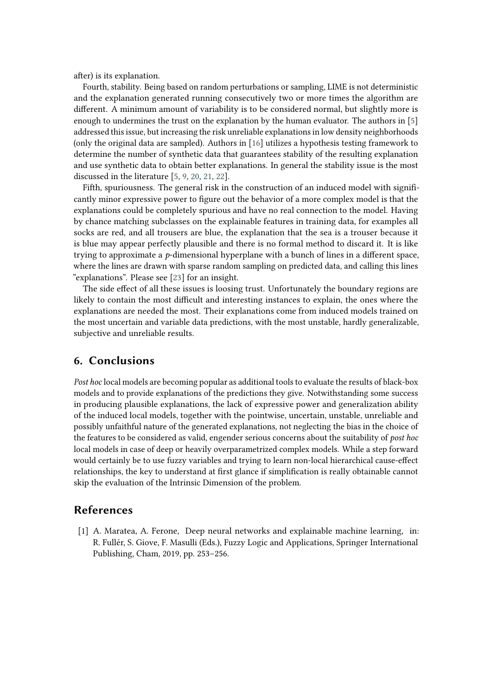after) is its explanation.

Fourth, stability. Being based on random perturbations or sampling, LIME is not deterministic and the explanation generated running consecutively two or more times the algorithm are different. A minimum amount of variability is to be considered normal, but slightly more is enough to undermines the trust on the explanation by the human evaluator. The authors in [\[5\]](#page-7-1) addressed this issue, but increasing the risk unreliable explanations in low density neighborhoods (only the original data are sampled). Authors in [\[16\]](#page-7-12) utilizes a hypothesis testing framework to determine the number of synthetic data that guarantees stability of the resulting explanation and use synthetic data to obtain better explanations. In general the stability issue is the most discussed in the literature [\[5,](#page-7-1) [9,](#page-7-5) [20,](#page-8-1) [21,](#page-8-2) [22\]](#page-8-3).

Fifth, spuriousness. The general risk in the construction of an induced model with significantly minor expressive power to figure out the behavior of a more complex model is that the explanations could be completely spurious and have no real connection to the model. Having by chance matching subclasses on the explainable features in training data, for examples all socks are red, and all trousers are blue, the explanation that the sea is a trouser because it is blue may appear perfectly plausible and there is no formal method to discard it. It is like trying to approximate a  $p$ -dimensional hyperplane with a bunch of lines in a different space, where the lines are drawn with sparse random sampling on predicted data, and calling this lines "explanations". Please see [\[23\]](#page-8-4) for an insight.

The side effect of all these issues is loosing trust. Unfortunately the boundary regions are likely to contain the most difficult and interesting instances to explain, the ones where the explanations are needed the most. Their explanations come from induced models trained on the most uncertain and variable data predictions, with the most unstable, hardly generalizable, subjective and unreliable results.

## **6. Conclusions**

*Post hoc* local models are becoming popular as additional tools to evaluate the results of black-box models and to provide explanations of the predictions they give. Notwithstanding some success in producing plausible explanations, the lack of expressive power and generalization ability of the induced local models, together with the pointwise, uncertain, unstable, unreliable and possibly unfaithful nature of the generated explanations, not neglecting the bias in the choice of the features to be considered as valid, engender serious concerns about the suitability of *post hoc* local models in case of deep or heavily overparametrized complex models. While a step forward would certainly be to use fuzzy variables and trying to learn non-local hierarchical cause-effect relationships, the key to understand at first glance if simplification is really obtainable cannot skip the evaluation of the Intrinsic Dimension of the problem.

## **References**

[1] A. Maratea, A. Ferone, Deep neural networks and explainable machine learning, in: R. Fullér, S. Giove, F. Masulli (Eds.), Fuzzy Logic and Applications, Springer International Publishing, Cham, 2019, pp. 253–256.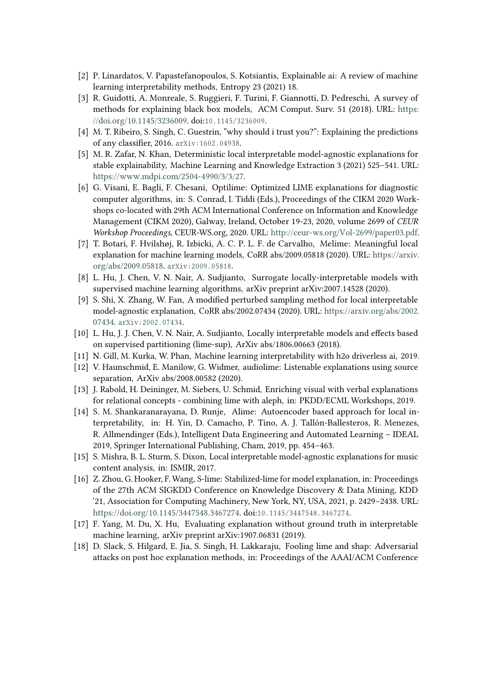- [2] P. Linardatos, V. Papastefanopoulos, S. Kotsiantis, Explainable ai: A review of machine learning interpretability methods, Entropy 23 (2021) 18.
- [3] R. Guidotti, A. Monreale, S. Ruggieri, F. Turini, F. Giannotti, D. Pedreschi, A survey of methods for explaining black box models, ACM Comput. Surv. 51 (2018). URL: [https:](https://doi.org/10.1145/3236009) [//doi.org/10.1145/3236009.](https://doi.org/10.1145/3236009) doi:10.1145/3236009.
- <span id="page-7-0"></span>[4] M. T. Ribeiro, S. Singh, C. Guestrin, "why should i trust you?": Explaining the predictions of any classifier, 2016. arXiv: 1602.04938.
- <span id="page-7-1"></span>[5] M. R. Zafar, N. Khan, Deterministic local interpretable model-agnostic explanations for stable explainability, Machine Learning and Knowledge Extraction 3 (2021) 525–541. URL: [https://www.mdpi.com/2504-4990/3/3/27.](https://www.mdpi.com/2504-4990/3/3/27)
- <span id="page-7-2"></span>[6] G. Visani, E. Bagli, F. Chesani, Optilime: Optimized LIME explanations for diagnostic computer algorithms, in: S. Conrad, I. Tiddi (Eds.), Proceedings of the CIKM 2020 Workshops co-located with 29th ACM International Conference on Information and Knowledge Management (CIKM 2020), Galway, Ireland, October 19-23, 2020, volume 2699 of *CEUR Workshop Proceedings*, CEUR-WS.org, 2020. URL: [http://ceur-ws.org/Vol-2699/paper03.pdf.](http://ceur-ws.org/Vol-2699/paper03.pdf)
- <span id="page-7-3"></span>[7] T. Botari, F. Hvilshøj, R. Izbicki, A. C. P. L. F. de Carvalho, Melime: Meaningful local explanation for machine learning models, CoRR abs/2009.05818 (2020). URL: [https://arxiv.](https://arxiv.org/abs/2009.05818) [org/abs/2009.05818.](https://arxiv.org/abs/2009.05818) arXiv:2009.05818.
- <span id="page-7-4"></span>[8] L. Hu, J. Chen, V. N. Nair, A. Sudjianto, Surrogate locally-interpretable models with supervised machine learning algorithms, arXiv preprint arXiv:2007.14528 (2020).
- <span id="page-7-5"></span>[9] S. Shi, X. Zhang, W. Fan, A modified perturbed sampling method for local interpretable model-agnostic explanation, CoRR abs/2002.07434 (2020). URL: [https://arxiv.org/abs/2002.](https://arxiv.org/abs/2002.07434) [07434.](https://arxiv.org/abs/2002.07434) arXiv: 2002.07434.
- <span id="page-7-6"></span>[10] L. Hu, J. J. Chen, V. N. Nair, A. Sudjianto, Locally interpretable models and effects based on supervised partitioning (lime-sup), ArXiv abs/1806.00663 (2018).
- <span id="page-7-7"></span>[11] N. Gill, M. Kurka, W. Phan, Machine learning interpretability with h2o driverless ai, 2019.
- <span id="page-7-8"></span>[12] V. Haunschmid, E. Manilow, G. Widmer, audiolime: Listenable explanations using source separation, ArXiv abs/2008.00582 (2020).
- <span id="page-7-9"></span>[13] J. Rabold, H. Deininger, M. Siebers, U. Schmid, Enriching visual with verbal explanations for relational concepts - combining lime with aleph, in: PKDD/ECML Workshops, 2019.
- <span id="page-7-10"></span>[14] S. M. Shankaranarayana, D. Runje, Alime: Autoencoder based approach for local interpretability, in: H. Yin, D. Camacho, P. Tino, A. J. Tallón-Ballesteros, R. Menezes, R. Allmendinger (Eds.), Intelligent Data Engineering and Automated Learning – IDEAL 2019, Springer International Publishing, Cham, 2019, pp. 454–463.
- <span id="page-7-11"></span>[15] S. Mishra, B. L. Sturm, S. Dixon, Local interpretable model-agnostic explanations for music content analysis, in: ISMIR, 2017.
- <span id="page-7-12"></span>[16] Z. Zhou, G. Hooker, F. Wang, S-lime: Stabilized-lime for model explanation, in: Proceedings of the 27th ACM SIGKDD Conference on Knowledge Discovery & Data Mining, KDD '21, Association for Computing Machinery, New York, NY, USA, 2021, p. 2429–2438. URL: [https://doi.org/10.1145/3447548.3467274.](https://doi.org/10.1145/3447548.3467274) doi:10.1145/3447548.3467274.
- <span id="page-7-13"></span>[17] F. Yang, M. Du, X. Hu, Evaluating explanation without ground truth in interpretable machine learning, arXiv preprint arXiv:1907.06831 (2019).
- <span id="page-7-14"></span>[18] D. Slack, S. Hilgard, E. Jia, S. Singh, H. Lakkaraju, Fooling lime and shap: Adversarial attacks on post hoc explanation methods, in: Proceedings of the AAAI/ACM Conference